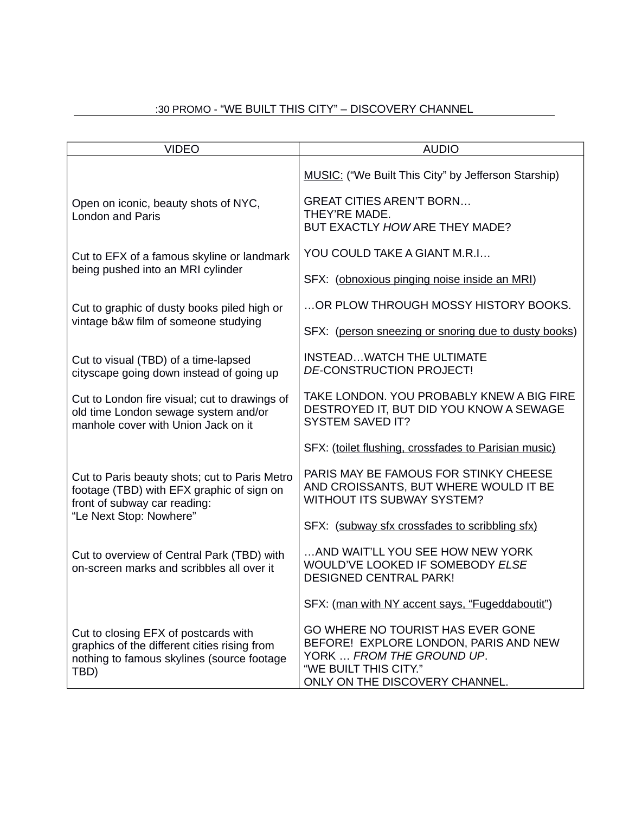# :30 PROMO - "WE BUILT THIS CITY" – DISCOVERY CHANNEL

| <b>VIDEO</b>                                                                                                                                          | <b>AUDIO</b>                                                                                                                                                       |
|-------------------------------------------------------------------------------------------------------------------------------------------------------|--------------------------------------------------------------------------------------------------------------------------------------------------------------------|
|                                                                                                                                                       | <b>MUSIC:</b> ("We Built This City" by Jefferson Starship)                                                                                                         |
| Open on iconic, beauty shots of NYC,<br><b>London and Paris</b>                                                                                       | <b>GREAT CITIES AREN'T BORN</b><br>THEY'RE MADE.<br>BUT EXACTLY HOW ARE THEY MADE?                                                                                 |
| Cut to EFX of a famous skyline or landmark<br>being pushed into an MRI cylinder                                                                       | YOU COULD TAKE A GIANT M.R.I                                                                                                                                       |
|                                                                                                                                                       | SFX: (obnoxious pinging noise inside an MRI)                                                                                                                       |
| Cut to graphic of dusty books piled high or<br>vintage b&w film of someone studying                                                                   | OR PLOW THROUGH MOSSY HISTORY BOOKS.                                                                                                                               |
|                                                                                                                                                       | SFX: (person sneezing or snoring due to dusty books)                                                                                                               |
| Cut to visual (TBD) of a time-lapsed<br>cityscape going down instead of going up                                                                      | INSTEADWATCH THE ULTIMATE<br>DE-CONSTRUCTION PROJECT!                                                                                                              |
| Cut to London fire visual; cut to drawings of<br>old time London sewage system and/or<br>manhole cover with Union Jack on it                          | TAKE LONDON. YOU PROBABLY KNEW A BIG FIRE<br>DESTROYED IT, BUT DID YOU KNOW A SEWAGE<br><b>SYSTEM SAVED IT?</b>                                                    |
|                                                                                                                                                       | SFX: (toilet flushing, crossfades to Parisian music)                                                                                                               |
| Cut to Paris beauty shots; cut to Paris Metro<br>footage (TBD) with EFX graphic of sign on<br>front of subway car reading:<br>"Le Next Stop: Nowhere" | PARIS MAY BE FAMOUS FOR STINKY CHEESE<br>AND CROISSANTS, BUT WHERE WOULD IT BE<br><b>WITHOUT ITS SUBWAY SYSTEM?</b>                                                |
|                                                                                                                                                       | SFX: (subway sfx crossfades to scribbling sfx)                                                                                                                     |
| Cut to overview of Central Park (TBD) with<br>on-screen marks and scribbles all over it                                                               | AND WAIT'LL YOU SEE HOW NEW YORK<br>WOULD'VE LOOKED IF SOMEBODY ELSE<br><b>DESIGNED CENTRAL PARK!</b>                                                              |
|                                                                                                                                                       | SFX: (man with NY accent says, "Fugeddaboutit")                                                                                                                    |
| Cut to closing EFX of postcards with<br>graphics of the different cities rising from<br>nothing to famous skylines (source footage<br>TBD)            | GO WHERE NO TOURIST HAS EVER GONE<br>BEFORE! EXPLORE LONDON, PARIS AND NEW<br>YORK  FROM THE GROUND UP.<br>"WE BUILT THIS CITY."<br>ONLY ON THE DISCOVERY CHANNEL. |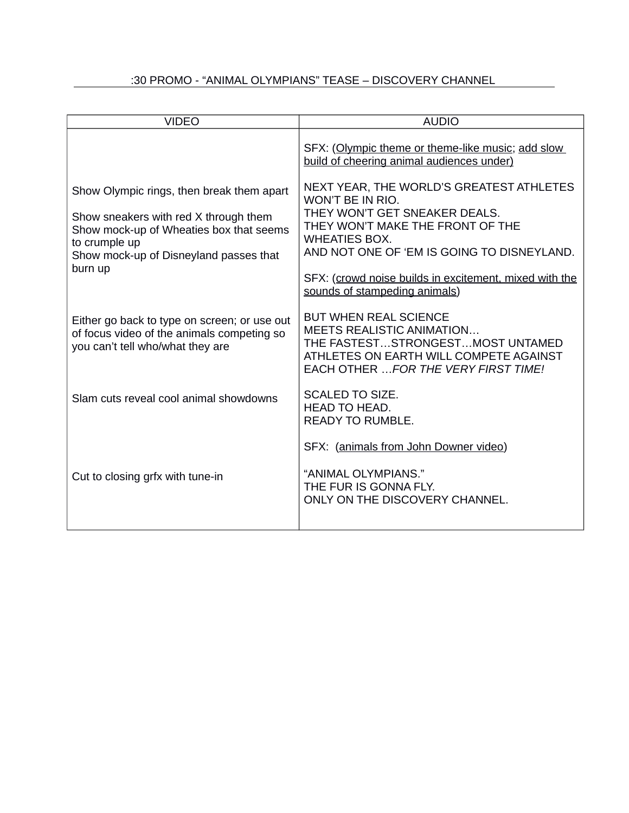# :30 PROMO - "ANIMAL OLYMPIANS" TEASE – DISCOVERY CHANNEL

| <b>VIDEO</b>                                                                                                                                                                                        | <b>AUDIO</b>                                                                                                                                                                                                                                                                                       |
|-----------------------------------------------------------------------------------------------------------------------------------------------------------------------------------------------------|----------------------------------------------------------------------------------------------------------------------------------------------------------------------------------------------------------------------------------------------------------------------------------------------------|
|                                                                                                                                                                                                     | SFX: (Olympic theme or theme-like music; add slow<br>build of cheering animal audiences under)                                                                                                                                                                                                     |
| Show Olympic rings, then break them apart<br>Show sneakers with red X through them<br>Show mock-up of Wheaties box that seems<br>to crumple up<br>Show mock-up of Disneyland passes that<br>burn up | NEXT YEAR, THE WORLD'S GREATEST ATHLETES<br>WON'T BE IN RIO.<br>THEY WON'T GET SNEAKER DEALS.<br>THEY WON'T MAKE THE FRONT OF THE<br><b>WHEATIES BOX.</b><br>AND NOT ONE OF 'EM IS GOING TO DISNEYLAND.<br>SFX: (crowd noise builds in excitement, mixed with the<br>sounds of stampeding animals) |
| Either go back to type on screen; or use out<br>of focus video of the animals competing so<br>you can't tell who/what they are                                                                      | <b>BUT WHEN REAL SCIENCE</b><br><b>MEETS REALISTIC ANIMATION</b><br>THE FASTESTSTRONGESTMOST UNTAMED<br>ATHLETES ON EARTH WILL COMPETE AGAINST<br>EACH OTHER  FOR THE VERY FIRST TIME!                                                                                                             |
| Slam cuts reveal cool animal showdowns                                                                                                                                                              | <b>SCALED TO SIZE.</b><br><b>HEAD TO HEAD.</b><br><b>READY TO RUMBLE.</b>                                                                                                                                                                                                                          |
| Cut to closing grfx with tune-in                                                                                                                                                                    | SFX: (animals from John Downer video)<br>"ANIMAL OLYMPIANS."<br>THE FUR IS GONNA FLY.<br>ONLY ON THE DISCOVERY CHANNEL.                                                                                                                                                                            |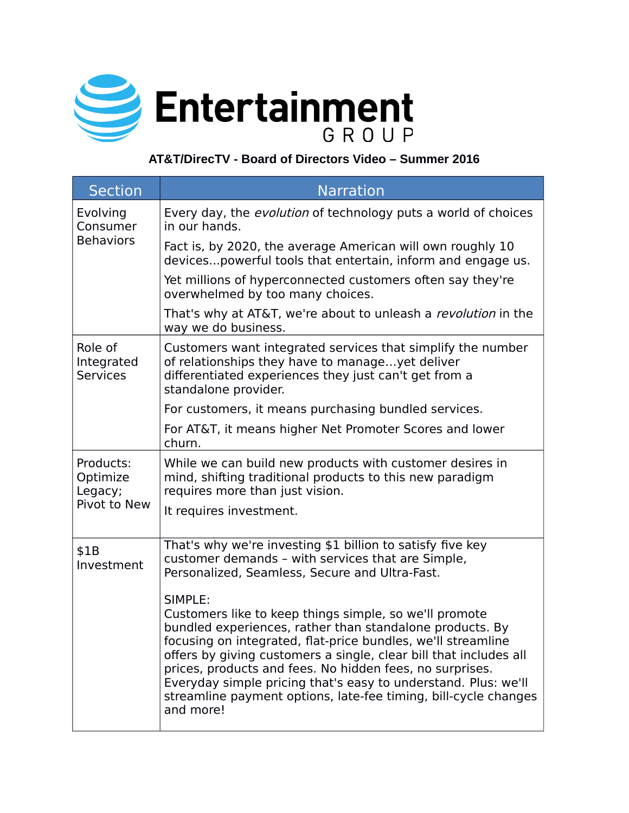

# **AT&T/DirecTV - Board of Directors Video – Summer 2016**

| <b>Section</b>                                   | <b>Narration</b>                                                                                                                                                                                                                                                                                                                                                                                                                                                                 |
|--------------------------------------------------|----------------------------------------------------------------------------------------------------------------------------------------------------------------------------------------------------------------------------------------------------------------------------------------------------------------------------------------------------------------------------------------------------------------------------------------------------------------------------------|
| Evolving<br>Consumer<br><b>Behaviors</b>         | Every day, the <i>evolution</i> of technology puts a world of choices<br>in our hands.                                                                                                                                                                                                                                                                                                                                                                                           |
|                                                  | Fact is, by 2020, the average American will own roughly 10<br>devices powerful tools that entertain, inform and engage us.                                                                                                                                                                                                                                                                                                                                                       |
|                                                  | Yet millions of hyperconnected customers often say they're<br>overwhelmed by too many choices.                                                                                                                                                                                                                                                                                                                                                                                   |
|                                                  | That's why at AT&T, we're about to unleash a <i>revolution</i> in the<br>way we do business.                                                                                                                                                                                                                                                                                                                                                                                     |
| Role of<br>Integrated<br><b>Services</b>         | Customers want integrated services that simplify the number<br>of relationships they have to manageyet deliver<br>differentiated experiences they just can't get from a<br>standalone provider.                                                                                                                                                                                                                                                                                  |
|                                                  | For customers, it means purchasing bundled services.                                                                                                                                                                                                                                                                                                                                                                                                                             |
|                                                  | For AT&T, it means higher Net Promoter Scores and lower<br>churn.                                                                                                                                                                                                                                                                                                                                                                                                                |
| Products:<br>Optimize<br>Legacy;<br>Pivot to New | While we can build new products with customer desires in<br>mind, shifting traditional products to this new paradigm<br>requires more than just vision.                                                                                                                                                                                                                                                                                                                          |
|                                                  | It requires investment.                                                                                                                                                                                                                                                                                                                                                                                                                                                          |
| \$1B<br>Investment                               | That's why we're investing \$1 billion to satisfy five key<br>customer demands - with services that are Simple,<br>Personalized, Seamless, Secure and Ultra-Fast.                                                                                                                                                                                                                                                                                                                |
|                                                  | SIMPLE:<br>Customers like to keep things simple, so we'll promote<br>bundled experiences, rather than standalone products. By<br>focusing on integrated, flat-price bundles, we'll streamline<br>offers by giving customers a single, clear bill that includes all<br>prices, products and fees. No hidden fees, no surprises.<br>Everyday simple pricing that's easy to understand. Plus: we'll<br>streamline payment options, late-fee timing, bill-cycle changes<br>and more! |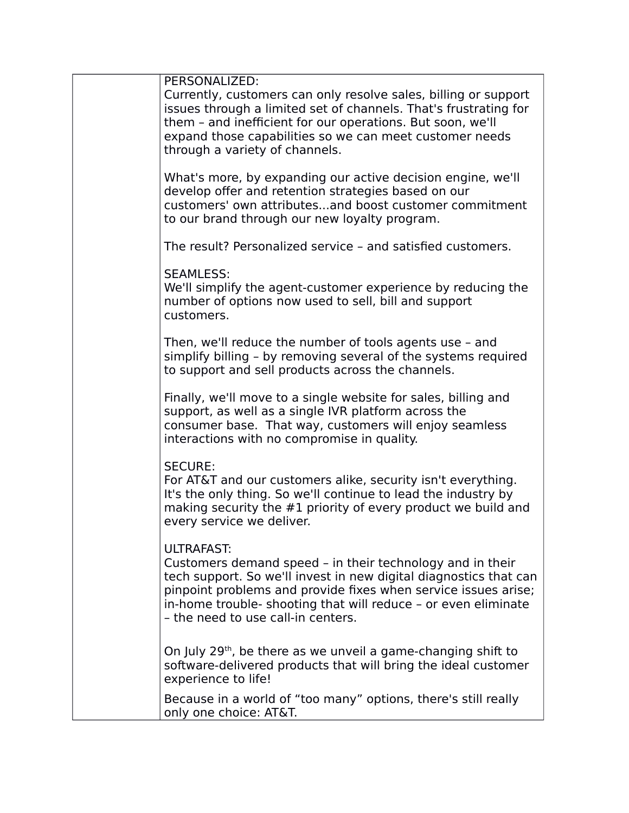| PERSONALIZED:<br>Currently, customers can only resolve sales, billing or support<br>issues through a limited set of channels. That's frustrating for<br>them - and inefficient for our operations. But soon, we'll<br>expand those capabilities so we can meet customer needs<br>through a variety of channels.               |
|-------------------------------------------------------------------------------------------------------------------------------------------------------------------------------------------------------------------------------------------------------------------------------------------------------------------------------|
| What's more, by expanding our active decision engine, we'll<br>develop offer and retention strategies based on our<br>customers' own attributesand boost customer commitment<br>to our brand through our new loyalty program.                                                                                                 |
| The result? Personalized service - and satisfied customers.                                                                                                                                                                                                                                                                   |
| <b>SEAMLESS:</b><br>We'll simplify the agent-customer experience by reducing the<br>number of options now used to sell, bill and support<br>customers.                                                                                                                                                                        |
| Then, we'll reduce the number of tools agents use - and<br>simplify billing - by removing several of the systems required<br>to support and sell products across the channels.                                                                                                                                                |
| Finally, we'll move to a single website for sales, billing and<br>support, as well as a single IVR platform across the<br>consumer base. That way, customers will enjoy seamless<br>interactions with no compromise in quality.                                                                                               |
| <b>SECURE:</b><br>For AT&T and our customers alike, security isn't everything.<br>It's the only thing. So we'll continue to lead the industry by<br>making security the #1 priority of every product we build and<br>every service we deliver.                                                                                |
| <b>ULTRAFAST:</b><br>Customers demand speed – in their technology and in their<br>tech support. So we'll invest in new digital diagnostics that can<br>pinpoint problems and provide fixes when service issues arise;<br>in-home trouble- shooting that will reduce - or even eliminate<br>- the need to use call-in centers. |
| On July 29 <sup>th</sup> , be there as we unveil a game-changing shift to<br>software-delivered products that will bring the ideal customer<br>experience to life!                                                                                                                                                            |
| Because in a world of "too many" options, there's still really<br>only one choice: AT&T.                                                                                                                                                                                                                                      |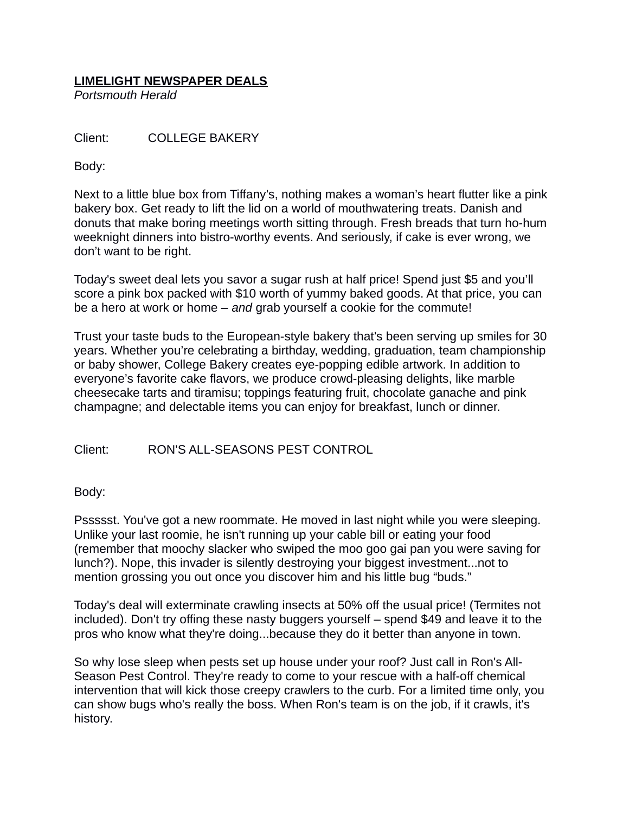## **LIMELIGHT NEWSPAPER DEALS**

*Portsmouth Herald*

Client: COLLEGE BAKERY

Body:

Next to a little blue box from Tiffany's, nothing makes a woman's heart flutter like a pink bakery box. Get ready to lift the lid on a world of mouthwatering treats. Danish and donuts that make boring meetings worth sitting through. Fresh breads that turn ho-hum weeknight dinners into bistro-worthy events. And seriously, if cake is ever wrong, we don't want to be right.

Today's sweet deal lets you savor a sugar rush at half price! Spend just \$5 and you'll score a pink box packed with \$10 worth of yummy baked goods. At that price, you can be a hero at work or home – *and* grab yourself a cookie for the commute!

Trust your taste buds to the European-style bakery that's been serving up smiles for 30 years. Whether you're celebrating a birthday, wedding, graduation, team championship or baby shower, College Bakery creates eye-popping edible artwork. In addition to everyone's favorite cake flavors, we produce crowd-pleasing delights, like marble cheesecake tarts and tiramisu; toppings featuring fruit, chocolate ganache and pink champagne; and delectable items you can enjoy for breakfast, lunch or dinner.

Client: RON'S ALL-SEASONS PEST CONTROL

Body:

Pssssst. You've got a new roommate. He moved in last night while you were sleeping. Unlike your last roomie, he isn't running up your cable bill or eating your food (remember that moochy slacker who swiped the moo goo gai pan you were saving for lunch?). Nope, this invader is silently destroying your biggest investment...not to mention grossing you out once you discover him and his little bug "buds."

Today's deal will exterminate crawling insects at 50% off the usual price! (Termites not included). Don't try offing these nasty buggers yourself – spend \$49 and leave it to the pros who know what they're doing...because they do it better than anyone in town.

So why lose sleep when pests set up house under your roof? Just call in Ron's All-Season Pest Control. They're ready to come to your rescue with a half-off chemical intervention that will kick those creepy crawlers to the curb. For a limited time only, you can show bugs who's really the boss. When Ron's team is on the job, if it crawls, it's history.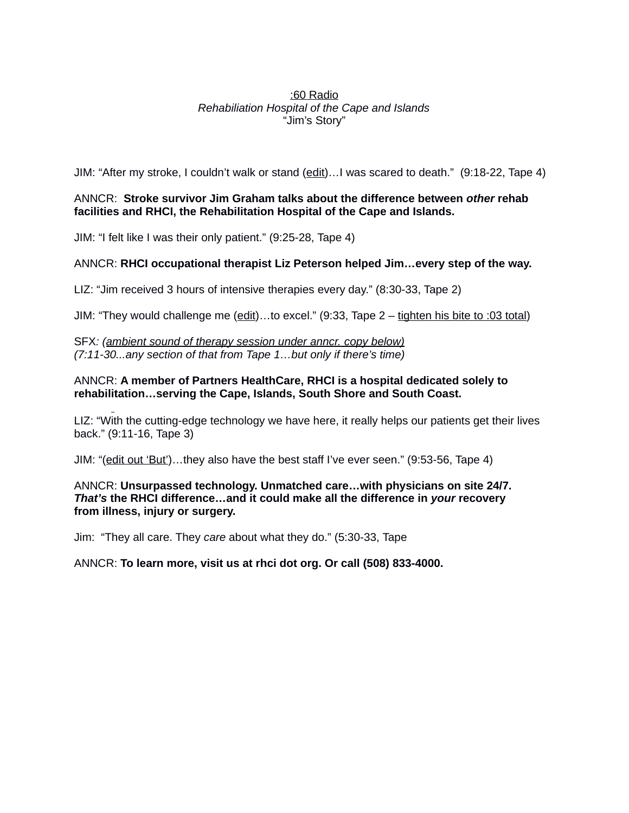#### :60 Radio *Rehabiliation Hospital of the Cape and Islands* "Jim's Story"

JIM: "After my stroke, I couldn't walk or stand (edit)…I was scared to death." (9:18-22, Tape 4)

#### ANNCR: **Stroke survivor Jim Graham talks about the difference between** *other* **rehab facilities and RHCI, the Rehabilitation Hospital of the Cape and Islands.**

JIM: "I felt like I was their only patient." (9:25-28, Tape 4)

#### ANNCR: **RHCI occupational therapist Liz Peterson helped Jim…every step of the way.**

LIZ: "Jim received 3 hours of intensive therapies every day." (8:30-33, Tape 2)

JIM: "They would challenge me (edit)...to excel." (9:33, Tape 2 – tighten his bite to :03 total)

SFX*: (ambient sound of therapy session under anncr. copy below) (7:11-30...any section of that from Tape 1…but only if there's time)*

#### ANNCR: **A member of Partners HealthCare, RHCI is a hospital dedicated solely to rehabilitation…serving the Cape, Islands, South Shore and South Coast.**

LIZ: "With the cutting-edge technology we have here, it really helps our patients get their lives back." (9:11-16, Tape 3)

JIM: "(edit out 'But')…they also have the best staff I've ever seen." (9:53-56, Tape 4)

#### ANNCR: **Unsurpassed technology. Unmatched care…with physicians on site 24/7.**  *That's* **the RHCI difference…and it could make all the difference in** *your* **recovery from illness, injury or surgery.**

Jim: "They all care. They *care* about what they do." (5:30-33, Tape

#### ANNCR: **To learn more, visit us at rhci dot org. Or call (508) 833-4000.**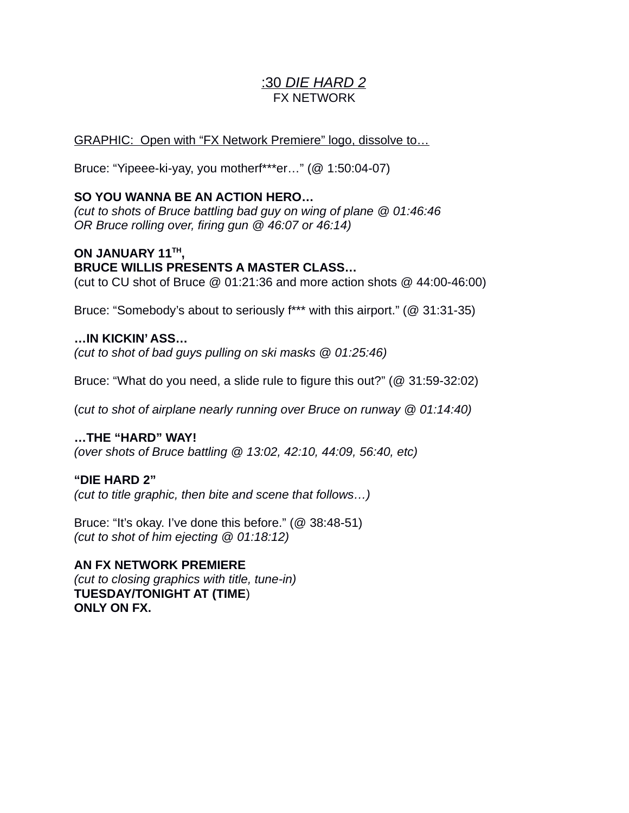# :30*DIE HARD 2* FX NETWORK

## GRAPHIC: Open with "FX Network Premiere" logo, dissolve to…

Bruce: "Yipeee-ki-yay, you motherf\*\*\*er…" (@ 1:50:04-07)

## **SO YOU WANNA BE AN ACTION HERO…**

*(cut to shots of Bruce battling bad guy on wing of plane @ 01:46:46 OR Bruce rolling over, firing gun @ 46:07 or 46:14)*

# **ON JANUARY 11TH , BRUCE WILLIS PRESENTS A MASTER CLASS…**

(cut to CU shot of Bruce @ 01:21:36 and more action shots @ 44:00-46:00)

Bruce: "Somebody's about to seriously f\*\*\* with this airport." (@ 31:31-35)

## **…IN KICKIN' ASS…**

*(cut to shot of bad guys pulling on ski masks @ 01:25:46)*

Bruce: "What do you need, a slide rule to figure this out?" (@ 31:59-32:02)

(*cut to shot of airplane nearly running over Bruce on runway @ 01:14:40)*

## **…THE "HARD" WAY!**

*(over shots of Bruce battling @ 13:02, 42:10, 44:09, 56:40, etc)*

## **"DIE HARD 2"**

*(cut to title graphic, then bite and scene that follows…)*

Bruce: "It's okay. I've done this before." (@ 38:48-51) *(cut to shot of him ejecting @ 01:18:12)*

## **AN FX NETWORK PREMIERE**

*(cut to closing graphics with title, tune-in)* **TUESDAY/TONIGHT AT (TIME**) **ONLY ON FX.**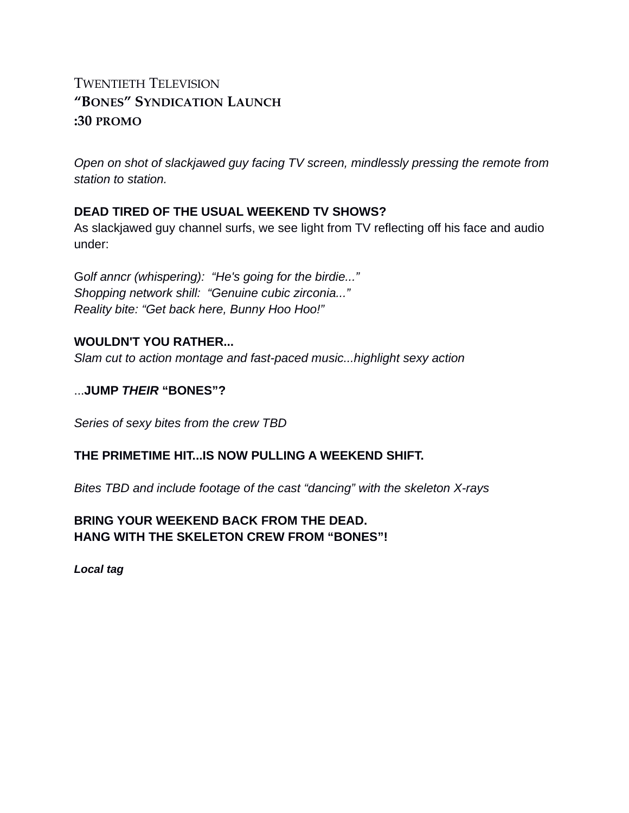# TWENTIETH TELEVISION **"BONES" SYNDICATION LAUNCH :30 PROMO**

*Open on shot of slackjawed guy facing TV screen, mindlessly pressing the remote from station to station.* 

## **DEAD TIRED OF THE USUAL WEEKEND TV SHOWS?**

As slackjawed guy channel surfs, we see light from TV reflecting off his face and audio under:

G*olf anncr (whispering): "He's going for the birdie..." Shopping network shill: "Genuine cubic zirconia..." Reality bite: "Get back here, Bunny Hoo Hoo!"*

## **WOULDN'T YOU RATHER...**

*Slam cut to action montage and fast-paced music...highlight sexy action* 

#### ...**JUMP** *THEIR* **"BONES"?**

*Series of sexy bites from the crew TBD*

## **THE PRIMETIME HIT...IS NOW PULLING A WEEKEND SHIFT.**

*Bites TBD and include footage of the cast "dancing" with the skeleton X-rays* 

## **BRING YOUR WEEKEND BACK FROM THE DEAD. HANG WITH THE SKELETON CREW FROM "BONES"!**

*Local tag*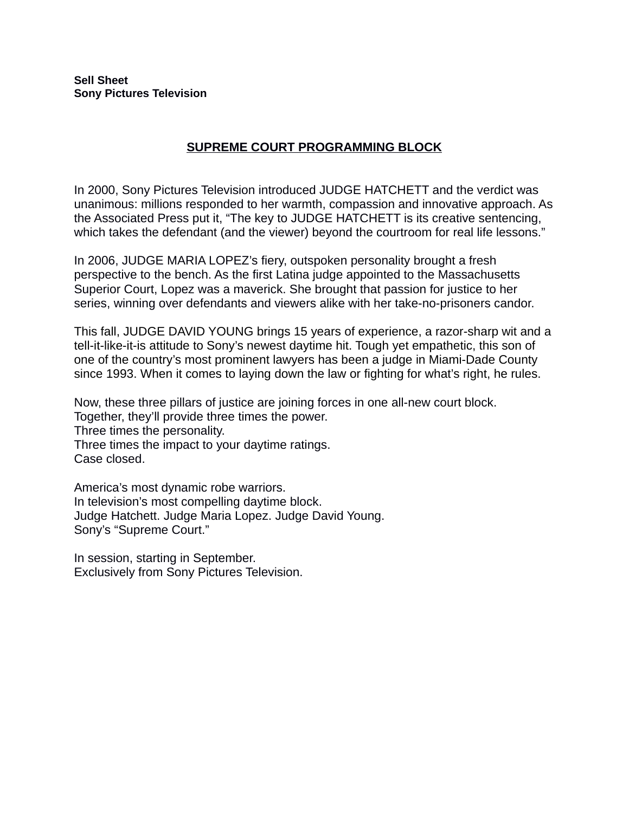**Sell Sheet Sony Pictures Television**

#### **SUPREME COURT PROGRAMMING BLOCK**

In 2000, Sony Pictures Television introduced JUDGE HATCHETT and the verdict was unanimous: millions responded to her warmth, compassion and innovative approach. As the Associated Press put it, "The key to JUDGE HATCHETT is its creative sentencing, which takes the defendant (and the viewer) beyond the courtroom for real life lessons."

In 2006, JUDGE MARIA LOPEZ's fiery, outspoken personality brought a fresh perspective to the bench. As the first Latina judge appointed to the Massachusetts Superior Court, Lopez was a maverick. She brought that passion for justice to her series, winning over defendants and viewers alike with her take-no-prisoners candor.

This fall, JUDGE DAVID YOUNG brings 15 years of experience, a razor-sharp wit and a tell-it-like-it-is attitude to Sony's newest daytime hit. Tough yet empathetic, this son of one of the country's most prominent lawyers has been a judge in Miami-Dade County since 1993. When it comes to laying down the law or fighting for what's right, he rules.

Now, these three pillars of justice are joining forces in one all-new court block. Together, they'll provide three times the power. Three times the personality. Three times the impact to your daytime ratings. Case closed.

America's most dynamic robe warriors. In television's most compelling daytime block. Judge Hatchett. Judge Maria Lopez. Judge David Young. Sony's "Supreme Court."

In session, starting in September. Exclusively from Sony Pictures Television.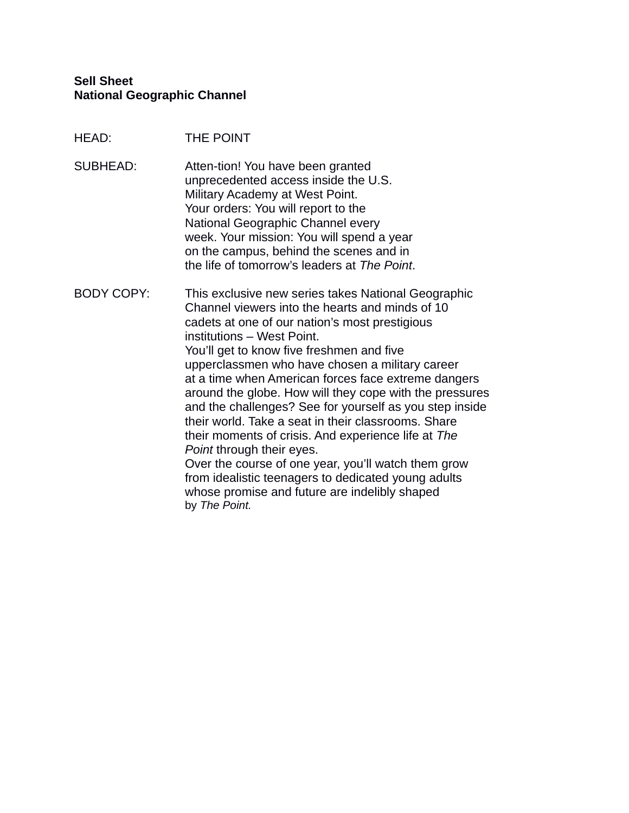#### **Sell Sheet National Geographic Channel**

- HEAD: THE POINT
- SUBHEAD: Atten-tion! You have been granted unprecedented access inside the U.S. Military Academy at West Point. Your orders: You will report to the National Geographic Channel every week. Your mission: You will spend a year on the campus, behind the scenes and in the life of tomorrow's leaders at *The Point*.

BODY COPY: This exclusive new series takes National Geographic Channel viewers into the hearts and minds of 10 cadets at one of our nation's most prestigious institutions – West Point. You'll get to know five freshmen and five upperclassmen who have chosen a military career at a time when American forces face extreme dangers around the globe. How will they cope with the pressures and the challenges? See for yourself as you step inside their world. Take a seat in their classrooms. Share their moments of crisis. And experience life at *The Point* through their eyes. Over the course of one year, you'll watch them grow from idealistic teenagers to dedicated young adults whose promise and future are indelibly shaped by *The Point.*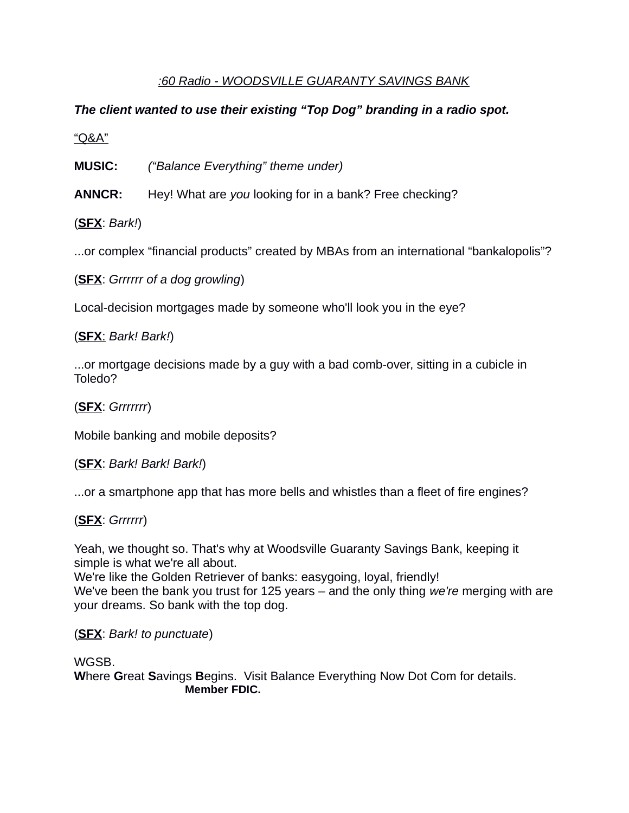# *:60 Radio - WOODSVILLE GUARANTY SAVINGS BANK*

# *The client wanted to use their existing "Top Dog" branding in a radio spot.*

"Q&A"

**MUSIC:** *("Balance Everything" theme under)*

**ANNCR:** Hey! What are *you* looking for in a bank? Free checking?

(**SFX**: *Bark!*)

...or complex "financial products" created by MBAs from an international "bankalopolis"?

(**SFX**: *Grrrrrr of a dog growling*)

Local-decision mortgages made by someone who'll look you in the eye?

( **SFX**: *Bark! Bark!*)

...or mortgage decisions made by a guy with a bad comb-over, sitting in a cubicle in Toledo?

(**SFX**: *Grrrrrrr*)

Mobile banking and mobile deposits?

(**SFX**: *Bark! Bark! Bark!*)

...or a smartphone app that has more bells and whistles than a fleet of fire engines?

# (**SFX**: *Grrrrrr*)

Yeah, we thought so. That's why at Woodsville Guaranty Savings Bank, keeping it simple is what we're all about.

We're like the Golden Retriever of banks: easygoing, loyal, friendly! We've been the bank you trust for 125 years – and the only thing *we're* merging with are your dreams. So bank with the top dog.

(**SFX**: *Bark! to punctuate*)

WGSB.

**W**here **G**reat **S**avings **B**egins. Visit Balance Everything Now Dot Com for details. **Member FDIC.**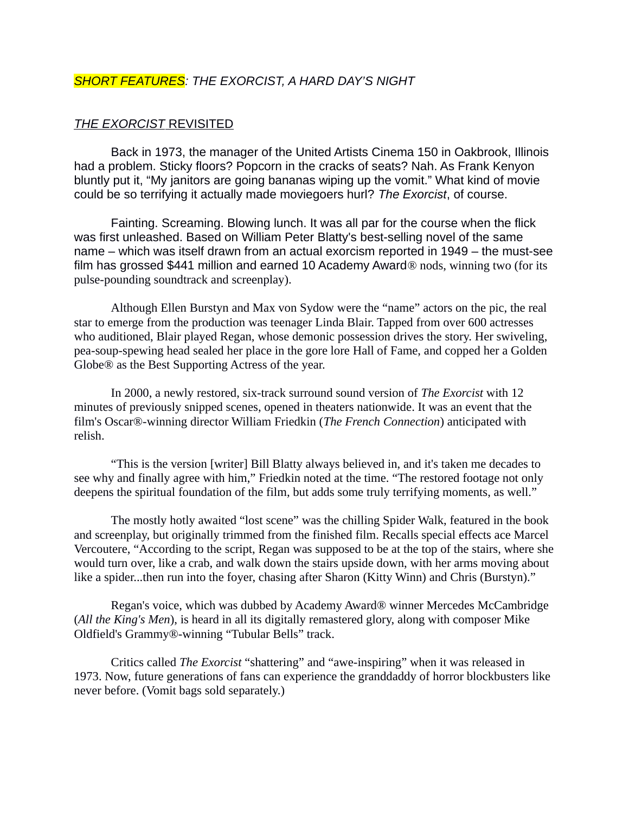#### *SHORT FEATURES: THE EXORCIST, A HARD DAY'S NIGHT*

#### *THE EXORCIST* REVISITED

Back in 1973, the manager of the United Artists Cinema 150 in Oakbrook, Illinois had a problem. Sticky floors? Popcorn in the cracks of seats? Nah. As Frank Kenyon bluntly put it, "My janitors are going bananas wiping up the vomit." What kind of movie could be so terrifying it actually made moviegoers hurl? *The Exorcist*, of course.

Fainting. Screaming. Blowing lunch. It was all par for the course when the flick was first unleashed. Based on William Peter Blatty's best-selling novel of the same name – which was itself drawn from an actual exorcism reported in 1949 – the must-see film has grossed \$441 million and earned 10 Academy Award® nods, winning two (for its pulse-pounding soundtrack and screenplay).

Although Ellen Burstyn and Max von Sydow were the "name" actors on the pic, the real star to emerge from the production was teenager Linda Blair. Tapped from over 600 actresses who auditioned, Blair played Regan, whose demonic possession drives the story. Her swiveling, pea-soup-spewing head sealed her place in the gore lore Hall of Fame, and copped her a Golden Globe® as the Best Supporting Actress of the year.

In 2000, a newly restored, six-track surround sound version of *The Exorcist* with 12 minutes of previously snipped scenes, opened in theaters nationwide. It was an event that the film's Oscar®-winning director William Friedkin (*The French Connection*) anticipated with relish.

"This is the version [writer] Bill Blatty always believed in, and it's taken me decades to see why and finally agree with him," Friedkin noted at the time. "The restored footage not only deepens the spiritual foundation of the film, but adds some truly terrifying moments, as well."

The mostly hotly awaited "lost scene" was the chilling Spider Walk, featured in the book and screenplay, but originally trimmed from the finished film. Recalls special effects ace Marcel Vercoutere, "According to the script, Regan was supposed to be at the top of the stairs, where she would turn over, like a crab, and walk down the stairs upside down, with her arms moving about like a spider...then run into the foyer, chasing after Sharon (Kitty Winn) and Chris (Burstyn)."

Regan's voice, which was dubbed by Academy Award® winner Mercedes McCambridge (*All the King's Men*), is heard in all its digitally remastered glory, along with composer Mike Oldfield's Grammy®-winning "Tubular Bells" track.

Critics called *The Exorcist* "shattering" and "awe-inspiring" when it was released in 1973. Now, future generations of fans can experience the granddaddy of horror blockbusters like never before. (Vomit bags sold separately.)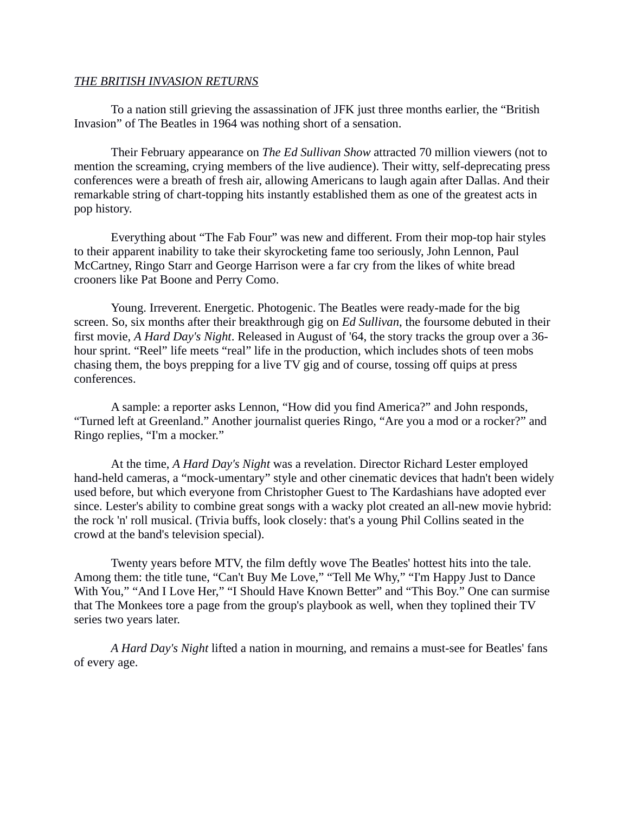#### *THE BRITISH INVASION RETURNS*

To a nation still grieving the assassination of JFK just three months earlier, the "British Invasion" of The Beatles in 1964 was nothing short of a sensation.

Their February appearance on *The Ed Sullivan Show* attracted 70 million viewers (not to mention the screaming, crying members of the live audience). Their witty, self-deprecating press conferences were a breath of fresh air, allowing Americans to laugh again after Dallas. And their remarkable string of chart-topping hits instantly established them as one of the greatest acts in pop history.

Everything about "The Fab Four" was new and different. From their mop-top hair styles to their apparent inability to take their skyrocketing fame too seriously, John Lennon, Paul McCartney, Ringo Starr and George Harrison were a far cry from the likes of white bread crooners like Pat Boone and Perry Como.

Young. Irreverent. Energetic. Photogenic. The Beatles were ready-made for the big screen. So, six months after their breakthrough gig on *Ed Sullivan*, the foursome debuted in their first movie, *A Hard Day's Night*. Released in August of '64, the story tracks the group over a 36 hour sprint. "Reel" life meets "real" life in the production, which includes shots of teen mobs chasing them, the boys prepping for a live TV gig and of course, tossing off quips at press conferences.

A sample: a reporter asks Lennon, "How did you find America?" and John responds, "Turned left at Greenland." Another journalist queries Ringo, "Are you a mod or a rocker?" and Ringo replies, "I'm a mocker."

At the time, *A Hard Day's Night* was a revelation. Director Richard Lester employed hand-held cameras, a "mock-umentary" style and other cinematic devices that hadn't been widely used before, but which everyone from Christopher Guest to The Kardashians have adopted ever since. Lester's ability to combine great songs with a wacky plot created an all-new movie hybrid: the rock 'n' roll musical. (Trivia buffs, look closely: that's a young Phil Collins seated in the crowd at the band's television special).

Twenty years before MTV, the film deftly wove The Beatles' hottest hits into the tale. Among them: the title tune, "Can't Buy Me Love," "Tell Me Why," "I'm Happy Just to Dance With You," "And I Love Her," "I Should Have Known Better" and "This Boy." One can surmise that The Monkees tore a page from the group's playbook as well, when they toplined their TV series two years later.

*A Hard Day's Night* lifted a nation in mourning, and remains a must-see for Beatles' fans of every age.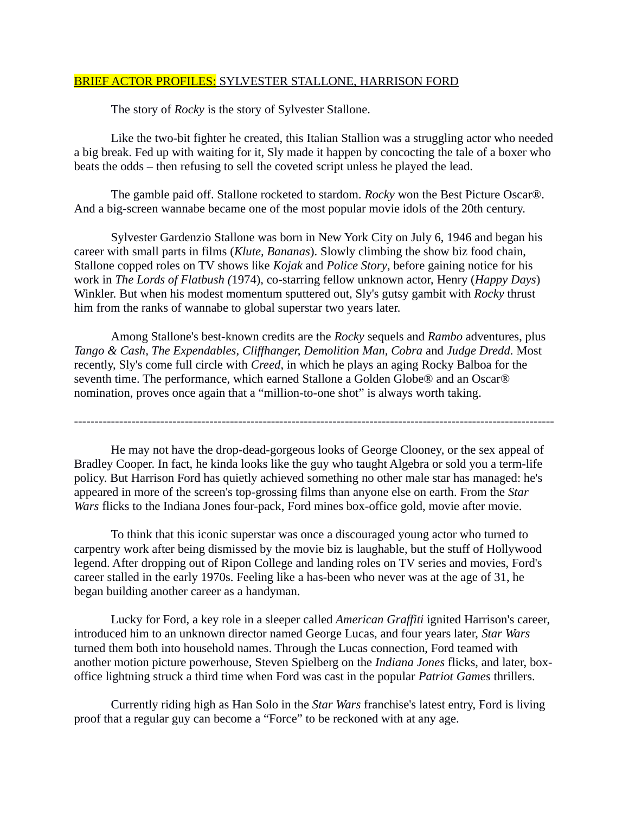#### BRIEF ACTOR PROFILES: SYLVESTER STALLONE, HARRISON FORD

The story of *Rocky* is the story of Sylvester Stallone.

Like the two-bit fighter he created, this Italian Stallion was a struggling actor who needed a big break. Fed up with waiting for it, Sly made it happen by concocting the tale of a boxer who beats the odds – then refusing to sell the coveted script unless he played the lead.

The gamble paid off. Stallone rocketed to stardom. *Rocky* won the Best Picture Oscar®. And a big-screen wannabe became one of the most popular movie idols of the 20th century.

Sylvester Gardenzio Stallone was born in New York City on July 6, 1946 and began his career with small parts in films (*Klute, Bananas*). Slowly climbing the show biz food chain, Stallone copped roles on TV shows like *Kojak* and *Police Story*, before gaining notice for his work in *The Lords of Flatbush (*1974), co-starring fellow unknown actor, Henry (*Happy Days*) Winkler. But when his modest momentum sputtered out, Sly's gutsy gambit with *Rocky* thrust him from the ranks of wannabe to global superstar two years later.

Among Stallone's best-known credits are the *Rocky* sequels and *Rambo* adventures, plus *Tango & Cash, The Expendables, Cliffhanger, Demolition Man, Cobra* and *Judge Dredd*. Most recently, Sly's come full circle with *Creed*, in which he plays an aging Rocky Balboa for the seventh time. The performance, which earned Stallone a Golden Globe® and an Oscar® nomination, proves once again that a "million-to-one shot" is always worth taking.

---------------------------------------------------------------------------------------------------------------------

He may not have the drop-dead-gorgeous looks of George Clooney, or the sex appeal of Bradley Cooper. In fact, he kinda looks like the guy who taught Algebra or sold you a term-life policy. But Harrison Ford has quietly achieved something no other male star has managed: he's appeared in more of the screen's top-grossing films than anyone else on earth. From the *Star Wars* flicks to the Indiana Jones four-pack, Ford mines box-office gold, movie after movie.

To think that this iconic superstar was once a discouraged young actor who turned to carpentry work after being dismissed by the movie biz is laughable, but the stuff of Hollywood legend. After dropping out of Ripon College and landing roles on TV series and movies, Ford's career stalled in the early 1970s. Feeling like a has-been who never was at the age of 31, he began building another career as a handyman.

Lucky for Ford, a key role in a sleeper called *American Graffiti* ignited Harrison's career, introduced him to an unknown director named George Lucas, and four years later, *Star Wars* turned them both into household names. Through the Lucas connection, Ford teamed with another motion picture powerhouse, Steven Spielberg on the *Indiana Jones* flicks, and later, boxoffice lightning struck a third time when Ford was cast in the popular *Patriot Games* thrillers.

Currently riding high as Han Solo in the *Star Wars* franchise's latest entry, Ford is living proof that a regular guy can become a "Force" to be reckoned with at any age.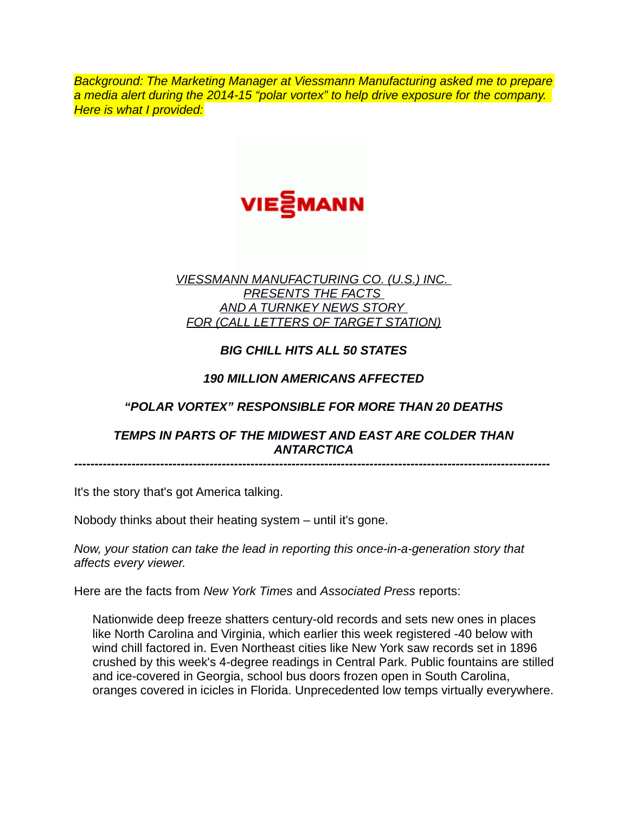*Background: The Marketing Manager at Viessmann Manufacturing asked me to prepare a media alert during the 2014-15 "polar vortex" to help drive exposure for the company. Here is what I provided:*



## *VIESSMANN MANUFACTURING CO. (U.S.) INC. PRESENTS THE FACTS AND A TURNKEY NEWS STORY FOR (CALL LETTERS OF TARGET STATION)*

# *BIG CHILL HITS ALL 50 STATES*

# *190 MILLION AMERICANS AFFECTED*

# *"POLAR VORTEX" RESPONSIBLE FOR MORE THAN 20 DEATHS*

## *TEMPS IN PARTS OF THE MIDWEST AND EAST ARE COLDER THAN ANTARCTICA*

*--------------------------------------------------------------------------------------------------------------------*

It's the story that's got America talking.

Nobody thinks about their heating system – until it's gone.

*Now, your station can take the lead in reporting this once-in-a-generation story that affects every viewer.*

Here are the facts from *New York Times* and *Associated Press* reports:

Nationwide deep freeze shatters century-old records and sets new ones in places like North Carolina and Virginia, which earlier this week registered -40 below with wind chill factored in. Even Northeast cities like New York saw records set in 1896 crushed by this week's 4-degree readings in Central Park. Public fountains are stilled and ice-covered in Georgia, school bus doors frozen open in South Carolina, oranges covered in icicles in Florida. Unprecedented low temps virtually everywhere.